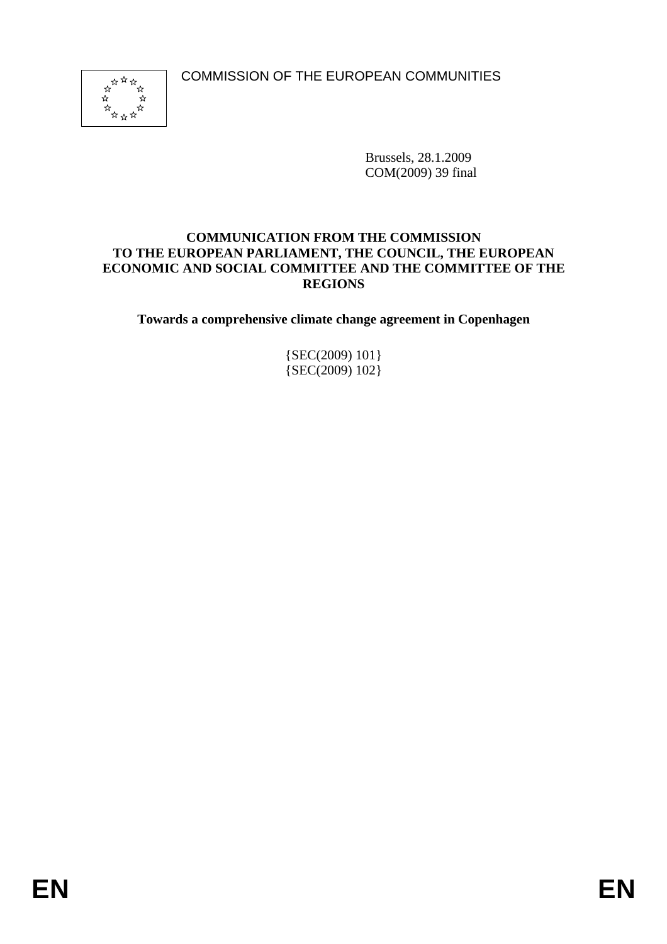COMMISSION OF THE EUROPEAN COMMUNITIES



Brussels, 28.1.2009 COM(2009) 39 final

#### **COMMUNICATION FROM THE COMMISSION TO THE EUROPEAN PARLIAMENT, THE COUNCIL, THE EUROPEAN ECONOMIC AND SOCIAL COMMITTEE AND THE COMMITTEE OF THE REGIONS**

**Towards a comprehensive climate change agreement in Copenhagen** 

{SEC(2009) 101} {SEC(2009) 102}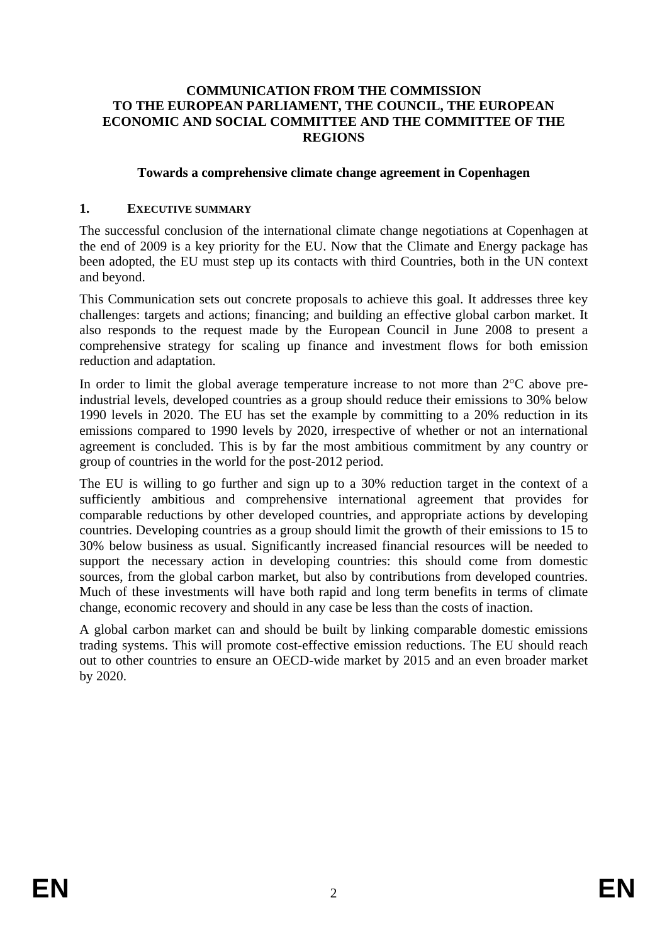#### **COMMUNICATION FROM THE COMMISSION TO THE EUROPEAN PARLIAMENT, THE COUNCIL, THE EUROPEAN ECONOMIC AND SOCIAL COMMITTEE AND THE COMMITTEE OF THE REGIONS**

#### **Towards a comprehensive climate change agreement in Copenhagen**

#### **1. EXECUTIVE SUMMARY**

The successful conclusion of the international climate change negotiations at Copenhagen at the end of 2009 is a key priority for the EU. Now that the Climate and Energy package has been adopted, the EU must step up its contacts with third Countries, both in the UN context and beyond.

This Communication sets out concrete proposals to achieve this goal. It addresses three key challenges: targets and actions; financing; and building an effective global carbon market. It also responds to the request made by the European Council in June 2008 to present a comprehensive strategy for scaling up finance and investment flows for both emission reduction and adaptation.

In order to limit the global average temperature increase to not more than 2°C above preindustrial levels, developed countries as a group should reduce their emissions to 30% below 1990 levels in 2020. The EU has set the example by committing to a 20% reduction in its emissions compared to 1990 levels by 2020, irrespective of whether or not an international agreement is concluded. This is by far the most ambitious commitment by any country or group of countries in the world for the post-2012 period.

The EU is willing to go further and sign up to a 30% reduction target in the context of a sufficiently ambitious and comprehensive international agreement that provides for comparable reductions by other developed countries, and appropriate actions by developing countries. Developing countries as a group should limit the growth of their emissions to 15 to 30% below business as usual. Significantly increased financial resources will be needed to support the necessary action in developing countries: this should come from domestic sources, from the global carbon market, but also by contributions from developed countries. Much of these investments will have both rapid and long term benefits in terms of climate change, economic recovery and should in any case be less than the costs of inaction.

A global carbon market can and should be built by linking comparable domestic emissions trading systems. This will promote cost-effective emission reductions. The EU should reach out to other countries to ensure an OECD-wide market by 2015 and an even broader market by 2020.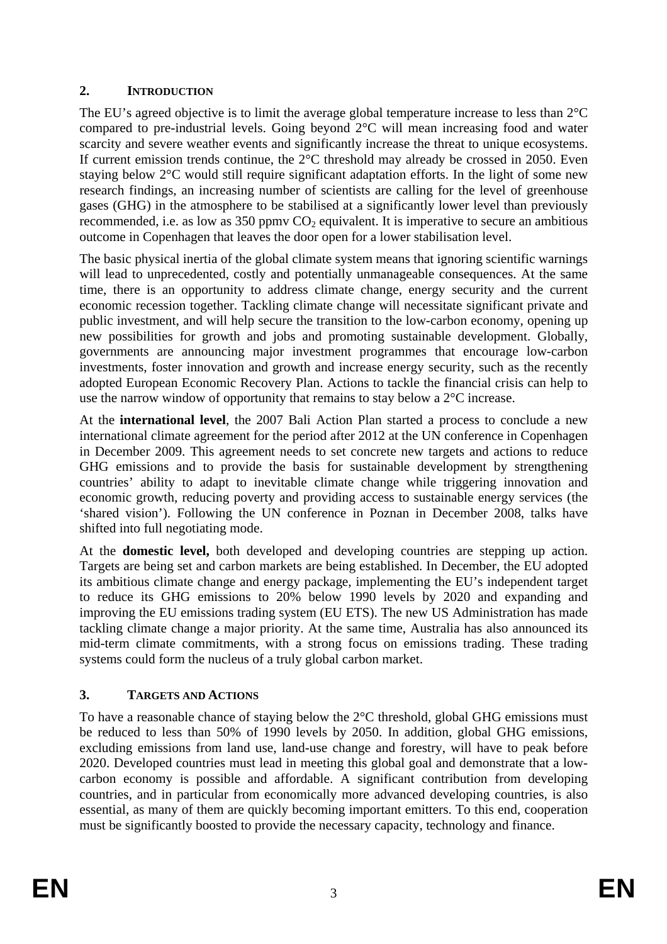## **2. INTRODUCTION**

The EU's agreed objective is to limit the average global temperature increase to less than 2°C compared to pre-industrial levels. Going beyond 2°C will mean increasing food and water scarcity and severe weather events and significantly increase the threat to unique ecosystems. If current emission trends continue, the  $2^{\circ}$ C threshold may already be crossed in 2050. Even staying below 2°C would still require significant adaptation efforts. In the light of some new research findings, an increasing number of scientists are calling for the level of greenhouse gases (GHG) in the atmosphere to be stabilised at a significantly lower level than previously recommended, i.e. as low as 350 ppmv  $CO<sub>2</sub>$  equivalent. It is imperative to secure an ambitious outcome in Copenhagen that leaves the door open for a lower stabilisation level.

The basic physical inertia of the global climate system means that ignoring scientific warnings will lead to unprecedented, costly and potentially unmanageable consequences. At the same time, there is an opportunity to address climate change, energy security and the current economic recession together. Tackling climate change will necessitate significant private and public investment, and will help secure the transition to the low-carbon economy, opening up new possibilities for growth and jobs and promoting sustainable development. Globally, governments are announcing major investment programmes that encourage low-carbon investments, foster innovation and growth and increase energy security, such as the recently adopted European Economic Recovery Plan. Actions to tackle the financial crisis can help to use the narrow window of opportunity that remains to stay below a 2°C increase.

At the **international level**, the 2007 Bali Action Plan started a process to conclude a new international climate agreement for the period after 2012 at the UN conference in Copenhagen in December 2009. This agreement needs to set concrete new targets and actions to reduce GHG emissions and to provide the basis for sustainable development by strengthening countries' ability to adapt to inevitable climate change while triggering innovation and economic growth, reducing poverty and providing access to sustainable energy services (the 'shared vision'). Following the UN conference in Poznan in December 2008, talks have shifted into full negotiating mode.

At the **domestic level,** both developed and developing countries are stepping up action. Targets are being set and carbon markets are being established. In December, the EU adopted its ambitious climate change and energy package, implementing the EU's independent target to reduce its GHG emissions to 20% below 1990 levels by 2020 and expanding and improving the EU emissions trading system (EU ETS). The new US Administration has made tackling climate change a major priority. At the same time, Australia has also announced its mid-term climate commitments, with a strong focus on emissions trading. These trading systems could form the nucleus of a truly global carbon market.

# **3. TARGETS AND ACTIONS**

To have a reasonable chance of staying below the 2°C threshold, global GHG emissions must be reduced to less than 50% of 1990 levels by 2050. In addition, global GHG emissions, excluding emissions from land use, land-use change and forestry, will have to peak before 2020. Developed countries must lead in meeting this global goal and demonstrate that a lowcarbon economy is possible and affordable. A significant contribution from developing countries, and in particular from economically more advanced developing countries, is also essential, as many of them are quickly becoming important emitters. To this end, cooperation must be significantly boosted to provide the necessary capacity, technology and finance.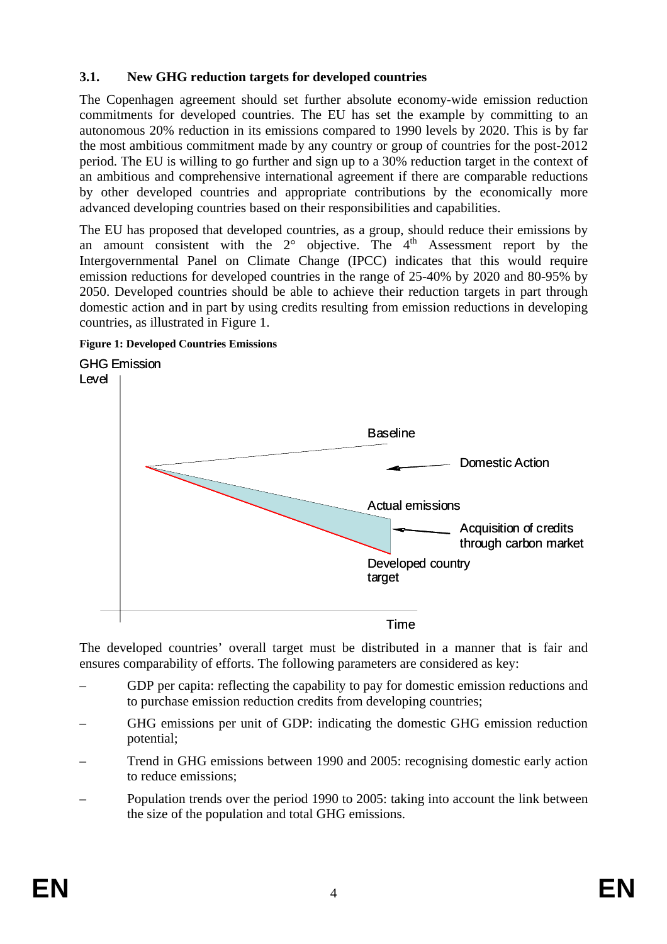### **3.1. New GHG reduction targets for developed countries**

The Copenhagen agreement should set further absolute economy-wide emission reduction commitments for developed countries. The EU has set the example by committing to an autonomous 20% reduction in its emissions compared to 1990 levels by 2020. This is by far the most ambitious commitment made by any country or group of countries for the post-2012 period. The EU is willing to go further and sign up to a 30% reduction target in the context of an ambitious and comprehensive international agreement if there are comparable reductions by other developed countries and appropriate contributions by the economically more advanced developing countries based on their responsibilities and capabilities.

The EU has proposed that developed countries, as a group, should reduce their emissions by an amount consistent with the  $2^\circ$  objective. The  $4^{\text{th}}$  Assessment report by the Intergovernmental Panel on Climate Change (IPCC) indicates that this would require emission reductions for developed countries in the range of 25-40% by 2020 and 80-95% by 2050. Developed countries should be able to achieve their reduction targets in part through domestic action and in part by using credits resulting from emission reductions in developing countries, as illustrated in Figure 1.





The developed countries' overall target must be distributed in a manner that is fair and ensures comparability of efforts. The following parameters are considered as key:

- GDP per capita: reflecting the capability to pay for domestic emission reductions and to purchase emission reduction credits from developing countries;
- GHG emissions per unit of GDP: indicating the domestic GHG emission reduction potential;
- Trend in GHG emissions between 1990 and 2005: recognising domestic early action to reduce emissions;
- Population trends over the period 1990 to 2005: taking into account the link between the size of the population and total GHG emissions.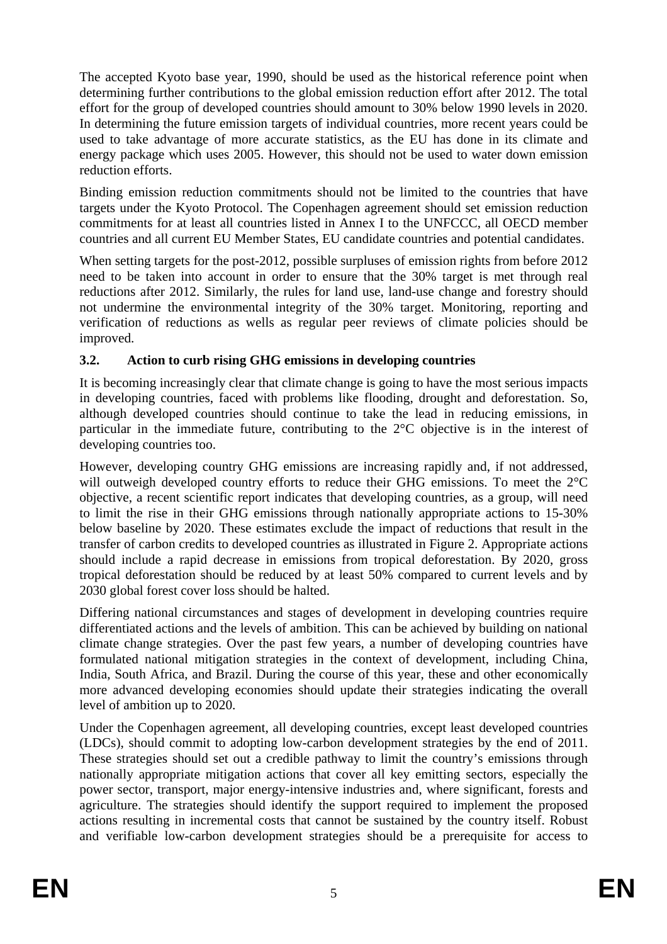The accepted Kyoto base year, 1990, should be used as the historical reference point when determining further contributions to the global emission reduction effort after 2012. The total effort for the group of developed countries should amount to 30% below 1990 levels in 2020. In determining the future emission targets of individual countries, more recent years could be used to take advantage of more accurate statistics, as the EU has done in its climate and energy package which uses 2005. However, this should not be used to water down emission reduction efforts.

Binding emission reduction commitments should not be limited to the countries that have targets under the Kyoto Protocol. The Copenhagen agreement should set emission reduction commitments for at least all countries listed in Annex I to the UNFCCC, all OECD member countries and all current EU Member States, EU candidate countries and potential candidates.

When setting targets for the post-2012, possible surpluses of emission rights from before 2012 need to be taken into account in order to ensure that the 30% target is met through real reductions after 2012. Similarly, the rules for land use, land-use change and forestry should not undermine the environmental integrity of the 30% target. Monitoring, reporting and verification of reductions as wells as regular peer reviews of climate policies should be improved.

# **3.2. Action to curb rising GHG emissions in developing countries**

It is becoming increasingly clear that climate change is going to have the most serious impacts in developing countries, faced with problems like flooding, drought and deforestation. So, although developed countries should continue to take the lead in reducing emissions, in particular in the immediate future, contributing to the 2°C objective is in the interest of developing countries too.

However, developing country GHG emissions are increasing rapidly and, if not addressed, will outweigh developed country efforts to reduce their GHG emissions. To meet the 2°C objective, a recent scientific report indicates that developing countries, as a group, will need to limit the rise in their GHG emissions through nationally appropriate actions to 15-30% below baseline by 2020. These estimates exclude the impact of reductions that result in the transfer of carbon credits to developed countries as illustrated in Figure 2. Appropriate actions should include a rapid decrease in emissions from tropical deforestation. By 2020, gross tropical deforestation should be reduced by at least 50% compared to current levels and by 2030 global forest cover loss should be halted.

Differing national circumstances and stages of development in developing countries require differentiated actions and the levels of ambition. This can be achieved by building on national climate change strategies. Over the past few years, a number of developing countries have formulated national mitigation strategies in the context of development, including China, India, South Africa, and Brazil. During the course of this year, these and other economically more advanced developing economies should update their strategies indicating the overall level of ambition up to 2020.

Under the Copenhagen agreement, all developing countries, except least developed countries (LDCs), should commit to adopting low-carbon development strategies by the end of 2011. These strategies should set out a credible pathway to limit the country's emissions through nationally appropriate mitigation actions that cover all key emitting sectors, especially the power sector, transport, major energy-intensive industries and, where significant, forests and agriculture. The strategies should identify the support required to implement the proposed actions resulting in incremental costs that cannot be sustained by the country itself. Robust and verifiable low-carbon development strategies should be a prerequisite for access to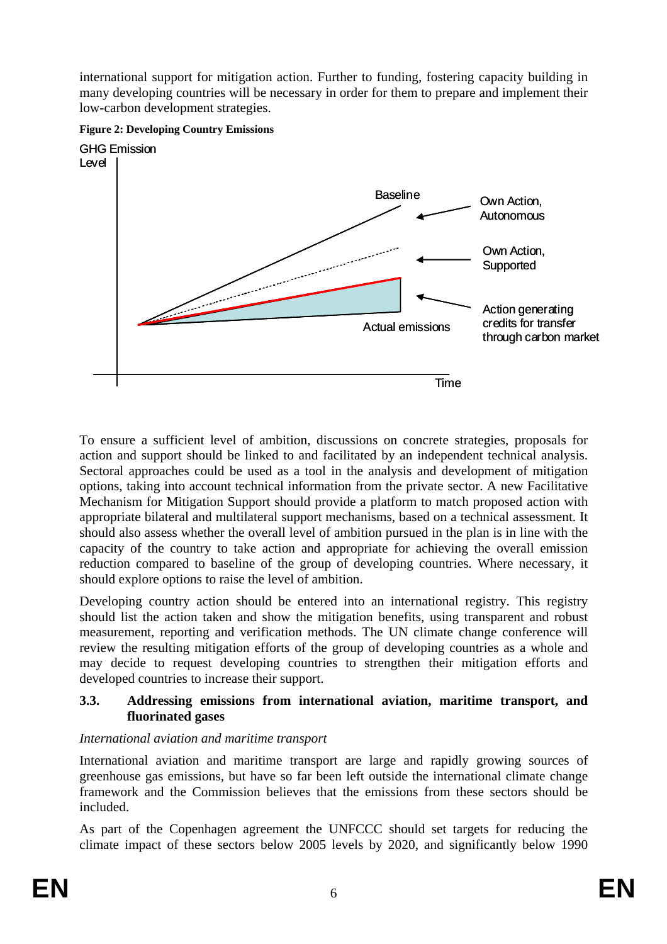international support for mitigation action. Further to funding, fostering capacity building in many developing countries will be necessary in order for them to prepare and implement their low-carbon development strategies.



**Figure 2: Developing Country Emissions** 

To ensure a sufficient level of ambition, discussions on concrete strategies, proposals for action and support should be linked to and facilitated by an independent technical analysis. Sectoral approaches could be used as a tool in the analysis and development of mitigation options, taking into account technical information from the private sector. A new Facilitative Mechanism for Mitigation Support should provide a platform to match proposed action with appropriate bilateral and multilateral support mechanisms, based on a technical assessment. It should also assess whether the overall level of ambition pursued in the plan is in line with the capacity of the country to take action and appropriate for achieving the overall emission reduction compared to baseline of the group of developing countries. Where necessary, it should explore options to raise the level of ambition.

Developing country action should be entered into an international registry. This registry should list the action taken and show the mitigation benefits, using transparent and robust measurement, reporting and verification methods. The UN climate change conference will review the resulting mitigation efforts of the group of developing countries as a whole and may decide to request developing countries to strengthen their mitigation efforts and developed countries to increase their support.

## **3.3. Addressing emissions from international aviation, maritime transport, and fluorinated gases**

# *International aviation and maritime transport*

International aviation and maritime transport are large and rapidly growing sources of greenhouse gas emissions, but have so far been left outside the international climate change framework and the Commission believes that the emissions from these sectors should be included.

As part of the Copenhagen agreement the UNFCCC should set targets for reducing the climate impact of these sectors below 2005 levels by 2020, and significantly below 1990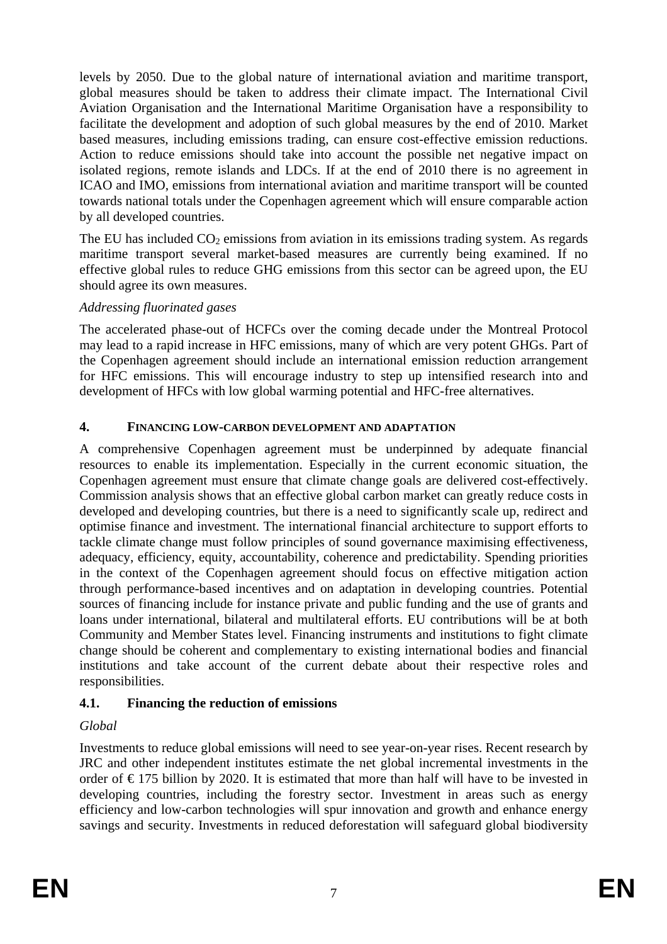levels by 2050. Due to the global nature of international aviation and maritime transport, global measures should be taken to address their climate impact. The International Civil Aviation Organisation and the International Maritime Organisation have a responsibility to facilitate the development and adoption of such global measures by the end of 2010. Market based measures, including emissions trading, can ensure cost-effective emission reductions. Action to reduce emissions should take into account the possible net negative impact on isolated regions, remote islands and LDCs. If at the end of 2010 there is no agreement in ICAO and IMO, emissions from international aviation and maritime transport will be counted towards national totals under the Copenhagen agreement which will ensure comparable action by all developed countries.

The EU has included  $CO<sub>2</sub>$  emissions from aviation in its emissions trading system. As regards maritime transport several market-based measures are currently being examined. If no effective global rules to reduce GHG emissions from this sector can be agreed upon, the EU should agree its own measures.

#### *Addressing fluorinated gases*

The accelerated phase-out of HCFCs over the coming decade under the Montreal Protocol may lead to a rapid increase in HFC emissions, many of which are very potent GHGs. Part of the Copenhagen agreement should include an international emission reduction arrangement for HFC emissions. This will encourage industry to step up intensified research into and development of HFCs with low global warming potential and HFC-free alternatives.

#### **4. FINANCING LOW-CARBON DEVELOPMENT AND ADAPTATION**

A comprehensive Copenhagen agreement must be underpinned by adequate financial resources to enable its implementation. Especially in the current economic situation, the Copenhagen agreement must ensure that climate change goals are delivered cost-effectively. Commission analysis shows that an effective global carbon market can greatly reduce costs in developed and developing countries, but there is a need to significantly scale up, redirect and optimise finance and investment. The international financial architecture to support efforts to tackle climate change must follow principles of sound governance maximising effectiveness, adequacy, efficiency, equity, accountability, coherence and predictability. Spending priorities in the context of the Copenhagen agreement should focus on effective mitigation action through performance-based incentives and on adaptation in developing countries. Potential sources of financing include for instance private and public funding and the use of grants and loans under international, bilateral and multilateral efforts. EU contributions will be at both Community and Member States level. Financing instruments and institutions to fight climate change should be coherent and complementary to existing international bodies and financial institutions and take account of the current debate about their respective roles and responsibilities.

# **4.1. Financing the reduction of emissions**

# *Global*

Investments to reduce global emissions will need to see year-on-year rises. Recent research by JRC and other independent institutes estimate the net global incremental investments in the order of  $\epsilon$ 175 billion by 2020. It is estimated that more than half will have to be invested in developing countries, including the forestry sector. Investment in areas such as energy efficiency and low-carbon technologies will spur innovation and growth and enhance energy savings and security. Investments in reduced deforestation will safeguard global biodiversity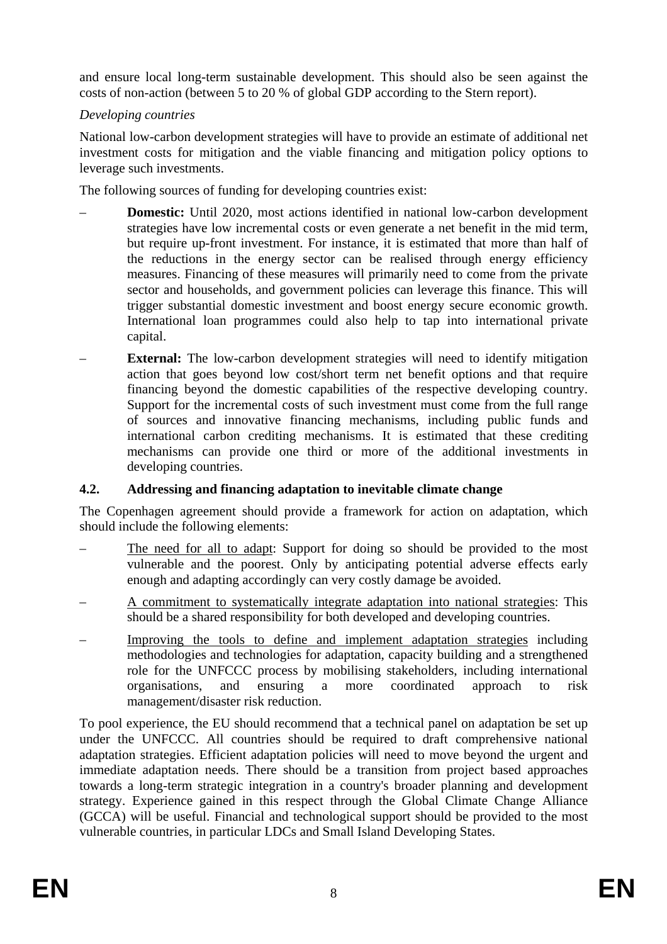and ensure local long-term sustainable development. This should also be seen against the costs of non-action (between 5 to 20 % of global GDP according to the Stern report).

### *Developing countries*

National low-carbon development strategies will have to provide an estimate of additional net investment costs for mitigation and the viable financing and mitigation policy options to leverage such investments.

The following sources of funding for developing countries exist:

- **Domestic:** Until 2020, most actions identified in national low-carbon development strategies have low incremental costs or even generate a net benefit in the mid term, but require up-front investment. For instance, it is estimated that more than half of the reductions in the energy sector can be realised through energy efficiency measures. Financing of these measures will primarily need to come from the private sector and households, and government policies can leverage this finance. This will trigger substantial domestic investment and boost energy secure economic growth. International loan programmes could also help to tap into international private capital.
- **External:** The low-carbon development strategies will need to identify mitigation action that goes beyond low cost/short term net benefit options and that require financing beyond the domestic capabilities of the respective developing country. Support for the incremental costs of such investment must come from the full range of sources and innovative financing mechanisms, including public funds and international carbon crediting mechanisms. It is estimated that these crediting mechanisms can provide one third or more of the additional investments in developing countries.

# **4.2. Addressing and financing adaptation to inevitable climate change**

The Copenhagen agreement should provide a framework for action on adaptation, which should include the following elements:

- The need for all to adapt: Support for doing so should be provided to the most vulnerable and the poorest. Only by anticipating potential adverse effects early enough and adapting accordingly can very costly damage be avoided.
- A commitment to systematically integrate adaptation into national strategies: This should be a shared responsibility for both developed and developing countries.
- Improving the tools to define and implement adaptation strategies including methodologies and technologies for adaptation, capacity building and a strengthened role for the UNFCCC process by mobilising stakeholders, including international organisations, and ensuring a more coordinated approach to risk management/disaster risk reduction.

To pool experience, the EU should recommend that a technical panel on adaptation be set up under the UNFCCC. All countries should be required to draft comprehensive national adaptation strategies. Efficient adaptation policies will need to move beyond the urgent and immediate adaptation needs. There should be a transition from project based approaches towards a long-term strategic integration in a country's broader planning and development strategy. Experience gained in this respect through the Global Climate Change Alliance (GCCA) will be useful. Financial and technological support should be provided to the most vulnerable countries, in particular LDCs and Small Island Developing States.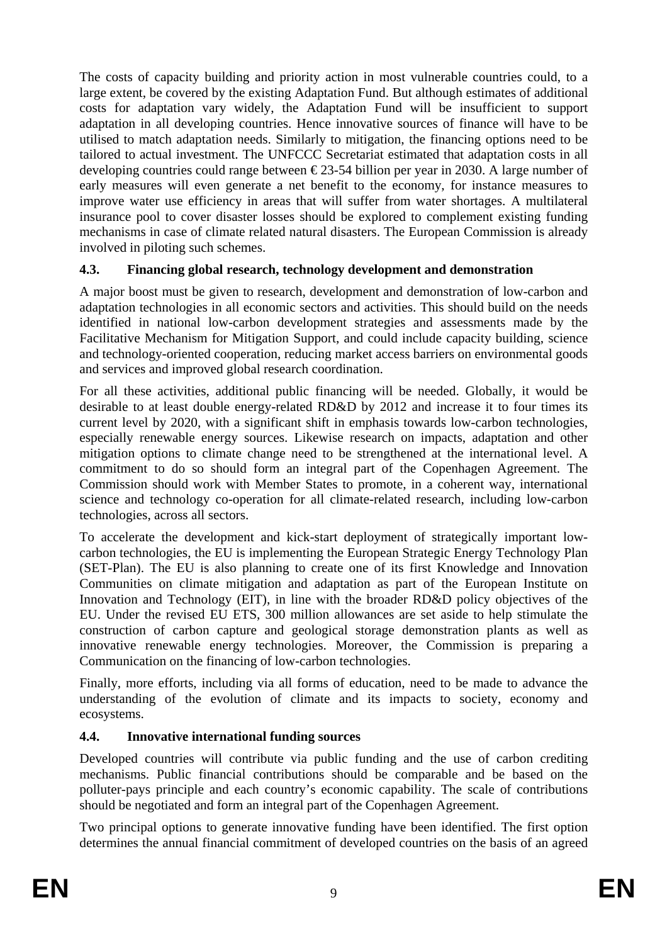The costs of capacity building and priority action in most vulnerable countries could, to a large extent, be covered by the existing Adaptation Fund. But although estimates of additional costs for adaptation vary widely, the Adaptation Fund will be insufficient to support adaptation in all developing countries. Hence innovative sources of finance will have to be utilised to match adaptation needs. Similarly to mitigation, the financing options need to be tailored to actual investment. The UNFCCC Secretariat estimated that adaptation costs in all developing countries could range between  $\epsilon$ 23-54 billion per year in 2030. A large number of early measures will even generate a net benefit to the economy, for instance measures to improve water use efficiency in areas that will suffer from water shortages. A multilateral insurance pool to cover disaster losses should be explored to complement existing funding mechanisms in case of climate related natural disasters. The European Commission is already involved in piloting such schemes.

## **4.3. Financing global research, technology development and demonstration**

A major boost must be given to research, development and demonstration of low-carbon and adaptation technologies in all economic sectors and activities. This should build on the needs identified in national low-carbon development strategies and assessments made by the Facilitative Mechanism for Mitigation Support, and could include capacity building, science and technology-oriented cooperation, reducing market access barriers on environmental goods and services and improved global research coordination.

For all these activities, additional public financing will be needed. Globally, it would be desirable to at least double energy-related RD&D by 2012 and increase it to four times its current level by 2020, with a significant shift in emphasis towards low-carbon technologies, especially renewable energy sources. Likewise research on impacts, adaptation and other mitigation options to climate change need to be strengthened at the international level. A commitment to do so should form an integral part of the Copenhagen Agreement. The Commission should work with Member States to promote, in a coherent way, international science and technology co-operation for all climate-related research, including low-carbon technologies, across all sectors.

To accelerate the development and kick-start deployment of strategically important lowcarbon technologies, the EU is implementing the European Strategic Energy Technology Plan (SET-Plan). The EU is also planning to create one of its first Knowledge and Innovation Communities on climate mitigation and adaptation as part of the European Institute on Innovation and Technology (EIT), in line with the broader RD&D policy objectives of the EU. Under the revised EU ETS, 300 million allowances are set aside to help stimulate the construction of carbon capture and geological storage demonstration plants as well as innovative renewable energy technologies. Moreover, the Commission is preparing a Communication on the financing of low-carbon technologies.

Finally, more efforts, including via all forms of education, need to be made to advance the understanding of the evolution of climate and its impacts to society, economy and ecosystems.

# **4.4. Innovative international funding sources**

Developed countries will contribute via public funding and the use of carbon crediting mechanisms. Public financial contributions should be comparable and be based on the polluter-pays principle and each country's economic capability. The scale of contributions should be negotiated and form an integral part of the Copenhagen Agreement.

Two principal options to generate innovative funding have been identified. The first option determines the annual financial commitment of developed countries on the basis of an agreed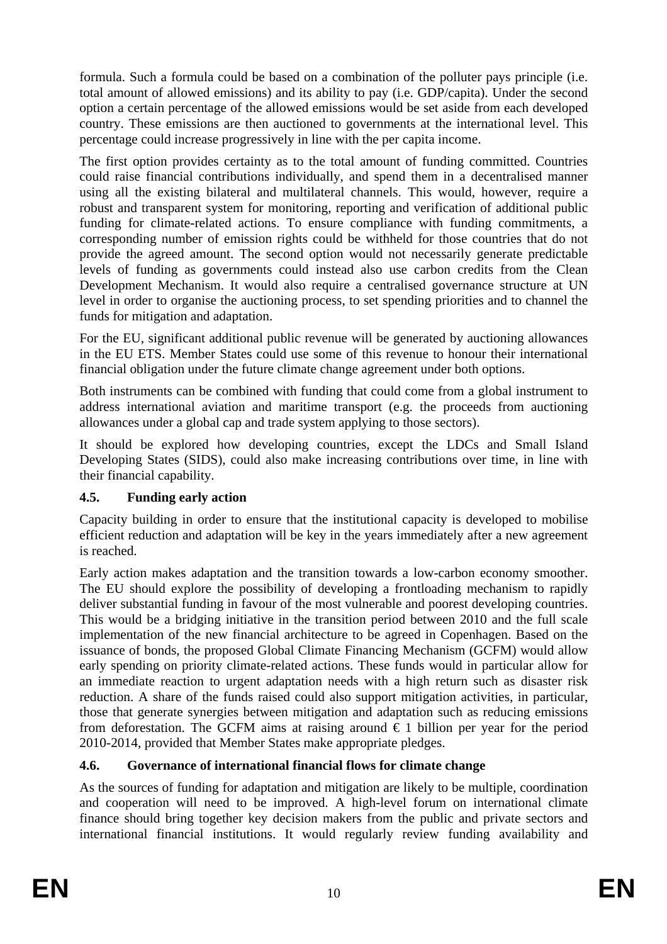formula. Such a formula could be based on a combination of the polluter pays principle (i.e. total amount of allowed emissions) and its ability to pay (i.e. GDP/capita). Under the second option a certain percentage of the allowed emissions would be set aside from each developed country. These emissions are then auctioned to governments at the international level. This percentage could increase progressively in line with the per capita income.

The first option provides certainty as to the total amount of funding committed. Countries could raise financial contributions individually, and spend them in a decentralised manner using all the existing bilateral and multilateral channels. This would, however, require a robust and transparent system for monitoring, reporting and verification of additional public funding for climate-related actions. To ensure compliance with funding commitments, a corresponding number of emission rights could be withheld for those countries that do not provide the agreed amount. The second option would not necessarily generate predictable levels of funding as governments could instead also use carbon credits from the Clean Development Mechanism. It would also require a centralised governance structure at UN level in order to organise the auctioning process, to set spending priorities and to channel the funds for mitigation and adaptation.

For the EU, significant additional public revenue will be generated by auctioning allowances in the EU ETS. Member States could use some of this revenue to honour their international financial obligation under the future climate change agreement under both options.

Both instruments can be combined with funding that could come from a global instrument to address international aviation and maritime transport (e.g. the proceeds from auctioning allowances under a global cap and trade system applying to those sectors).

It should be explored how developing countries, except the LDCs and Small Island Developing States (SIDS), could also make increasing contributions over time, in line with their financial capability.

# **4.5. Funding early action**

Capacity building in order to ensure that the institutional capacity is developed to mobilise efficient reduction and adaptation will be key in the years immediately after a new agreement is reached.

Early action makes adaptation and the transition towards a low-carbon economy smoother. The EU should explore the possibility of developing a frontloading mechanism to rapidly deliver substantial funding in favour of the most vulnerable and poorest developing countries. This would be a bridging initiative in the transition period between 2010 and the full scale implementation of the new financial architecture to be agreed in Copenhagen. Based on the issuance of bonds, the proposed Global Climate Financing Mechanism (GCFM) would allow early spending on priority climate-related actions. These funds would in particular allow for an immediate reaction to urgent adaptation needs with a high return such as disaster risk reduction. A share of the funds raised could also support mitigation activities, in particular, those that generate synergies between mitigation and adaptation such as reducing emissions from deforestation. The GCFM aims at raising around  $\epsilon$  1 billion per year for the period 2010-2014, provided that Member States make appropriate pledges.

# **4.6. Governance of international financial flows for climate change**

As the sources of funding for adaptation and mitigation are likely to be multiple, coordination and cooperation will need to be improved. A high-level forum on international climate finance should bring together key decision makers from the public and private sectors and international financial institutions. It would regularly review funding availability and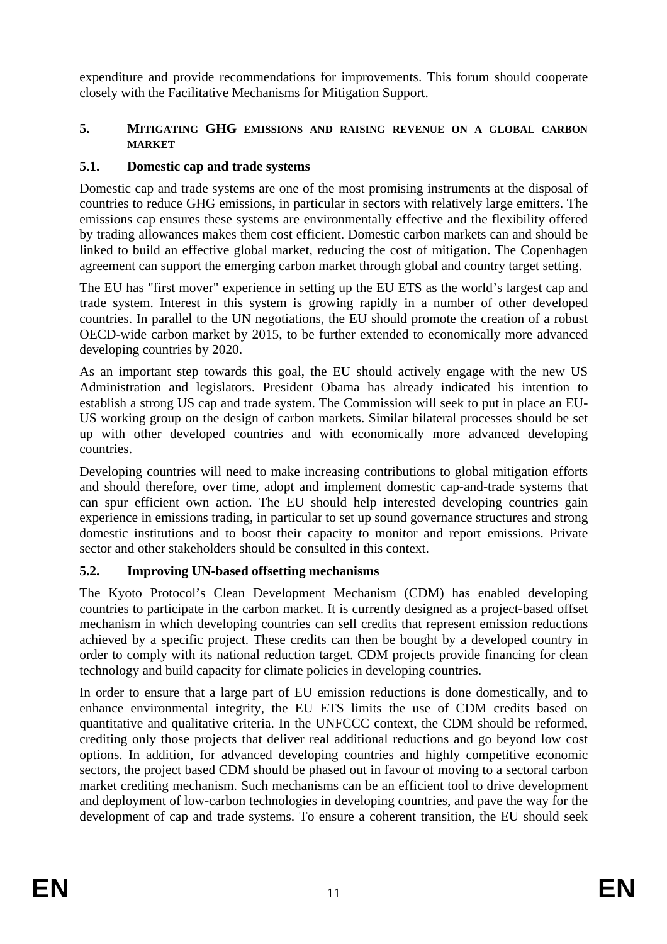expenditure and provide recommendations for improvements. This forum should cooperate closely with the Facilitative Mechanisms for Mitigation Support.

#### **5. MITIGATING GHG EMISSIONS AND RAISING REVENUE ON A GLOBAL CARBON MARKET**

## **5.1. Domestic cap and trade systems**

Domestic cap and trade systems are one of the most promising instruments at the disposal of countries to reduce GHG emissions, in particular in sectors with relatively large emitters. The emissions cap ensures these systems are environmentally effective and the flexibility offered by trading allowances makes them cost efficient. Domestic carbon markets can and should be linked to build an effective global market, reducing the cost of mitigation. The Copenhagen agreement can support the emerging carbon market through global and country target setting.

The EU has "first mover" experience in setting up the EU ETS as the world's largest cap and trade system. Interest in this system is growing rapidly in a number of other developed countries. In parallel to the UN negotiations, the EU should promote the creation of a robust OECD-wide carbon market by 2015, to be further extended to economically more advanced developing countries by 2020.

As an important step towards this goal, the EU should actively engage with the new US Administration and legislators. President Obama has already indicated his intention to establish a strong US cap and trade system. The Commission will seek to put in place an EU-US working group on the design of carbon markets. Similar bilateral processes should be set up with other developed countries and with economically more advanced developing countries.

Developing countries will need to make increasing contributions to global mitigation efforts and should therefore, over time, adopt and implement domestic cap-and-trade systems that can spur efficient own action. The EU should help interested developing countries gain experience in emissions trading, in particular to set up sound governance structures and strong domestic institutions and to boost their capacity to monitor and report emissions. Private sector and other stakeholders should be consulted in this context.

# **5.2. Improving UN-based offsetting mechanisms**

The Kyoto Protocol's Clean Development Mechanism (CDM) has enabled developing countries to participate in the carbon market. It is currently designed as a project-based offset mechanism in which developing countries can sell credits that represent emission reductions achieved by a specific project. These credits can then be bought by a developed country in order to comply with its national reduction target. CDM projects provide financing for clean technology and build capacity for climate policies in developing countries.

In order to ensure that a large part of EU emission reductions is done domestically, and to enhance environmental integrity, the EU ETS limits the use of CDM credits based on quantitative and qualitative criteria. In the UNFCCC context, the CDM should be reformed, crediting only those projects that deliver real additional reductions and go beyond low cost options. In addition, for advanced developing countries and highly competitive economic sectors, the project based CDM should be phased out in favour of moving to a sectoral carbon market crediting mechanism. Such mechanisms can be an efficient tool to drive development and deployment of low-carbon technologies in developing countries, and pave the way for the development of cap and trade systems. To ensure a coherent transition, the EU should seek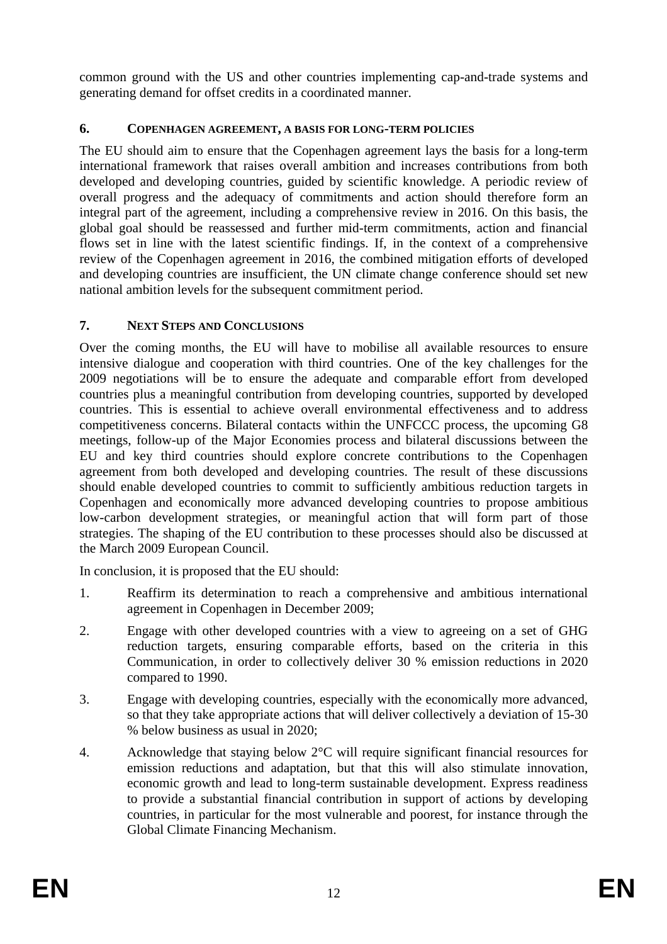common ground with the US and other countries implementing cap-and-trade systems and generating demand for offset credits in a coordinated manner.

#### **6. COPENHAGEN AGREEMENT, A BASIS FOR LONG-TERM POLICIES**

The EU should aim to ensure that the Copenhagen agreement lays the basis for a long-term international framework that raises overall ambition and increases contributions from both developed and developing countries, guided by scientific knowledge. A periodic review of overall progress and the adequacy of commitments and action should therefore form an integral part of the agreement, including a comprehensive review in 2016. On this basis, the global goal should be reassessed and further mid-term commitments, action and financial flows set in line with the latest scientific findings. If, in the context of a comprehensive review of the Copenhagen agreement in 2016, the combined mitigation efforts of developed and developing countries are insufficient, the UN climate change conference should set new national ambition levels for the subsequent commitment period.

## **7. NEXT STEPS AND CONCLUSIONS**

Over the coming months, the EU will have to mobilise all available resources to ensure intensive dialogue and cooperation with third countries. One of the key challenges for the 2009 negotiations will be to ensure the adequate and comparable effort from developed countries plus a meaningful contribution from developing countries, supported by developed countries. This is essential to achieve overall environmental effectiveness and to address competitiveness concerns. Bilateral contacts within the UNFCCC process, the upcoming G8 meetings, follow-up of the Major Economies process and bilateral discussions between the EU and key third countries should explore concrete contributions to the Copenhagen agreement from both developed and developing countries. The result of these discussions should enable developed countries to commit to sufficiently ambitious reduction targets in Copenhagen and economically more advanced developing countries to propose ambitious low-carbon development strategies, or meaningful action that will form part of those strategies. The shaping of the EU contribution to these processes should also be discussed at the March 2009 European Council.

In conclusion, it is proposed that the EU should:

- 1. Reaffirm its determination to reach a comprehensive and ambitious international agreement in Copenhagen in December 2009;
- 2. Engage with other developed countries with a view to agreeing on a set of GHG reduction targets, ensuring comparable efforts, based on the criteria in this Communication, in order to collectively deliver 30 % emission reductions in 2020 compared to 1990.
- 3. Engage with developing countries, especially with the economically more advanced, so that they take appropriate actions that will deliver collectively a deviation of 15-30 % below business as usual in 2020;
- 4. Acknowledge that staying below 2°C will require significant financial resources for emission reductions and adaptation, but that this will also stimulate innovation, economic growth and lead to long-term sustainable development. Express readiness to provide a substantial financial contribution in support of actions by developing countries, in particular for the most vulnerable and poorest, for instance through the Global Climate Financing Mechanism.